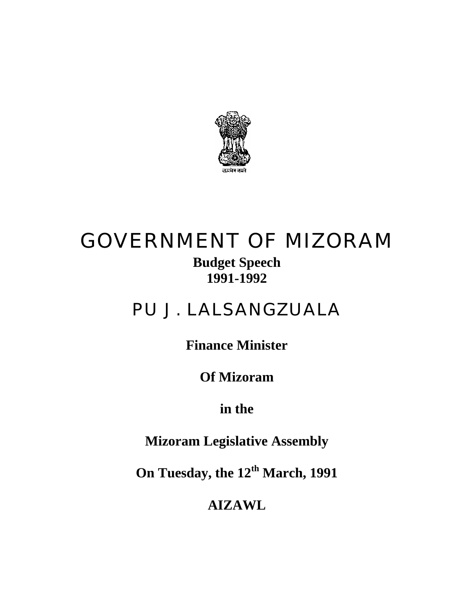

# GOVERNMENT OF MIZORAM

**Budget Speech 1991-1992** 

## PU J. LALSANGZUALA

**Finance Minister** 

**Of Mizoram** 

**in the** 

**Mizoram Legislative Assembly** 

**On Tuesday, the 12th March, 1991** 

**AIZAWL**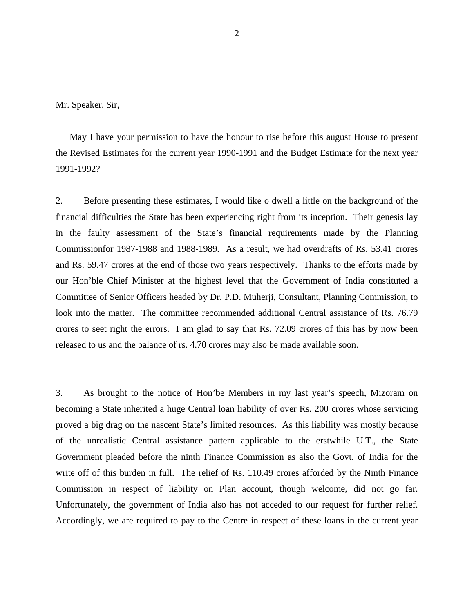Mr. Speaker, Sir,

May I have your permission to have the honour to rise before this august House to present the Revised Estimates for the current year 1990-1991 and the Budget Estimate for the next year 1991-1992?

2. Before presenting these estimates, I would like o dwell a little on the background of the financial difficulties the State has been experiencing right from its inception. Their genesis lay in the faulty assessment of the State's financial requirements made by the Planning Commissionfor 1987-1988 and 1988-1989. As a result, we had overdrafts of Rs. 53.41 crores and Rs. 59.47 crores at the end of those two years respectively. Thanks to the efforts made by our Hon'ble Chief Minister at the highest level that the Government of India constituted a Committee of Senior Officers headed by Dr. P.D. Muherji, Consultant, Planning Commission, to look into the matter. The committee recommended additional Central assistance of Rs. 76.79 crores to seet right the errors. I am glad to say that Rs. 72.09 crores of this has by now been released to us and the balance of rs. 4.70 crores may also be made available soon.

3. As brought to the notice of Hon'be Members in my last year's speech, Mizoram on becoming a State inherited a huge Central loan liability of over Rs. 200 crores whose servicing proved a big drag on the nascent State's limited resources. As this liability was mostly because of the unrealistic Central assistance pattern applicable to the erstwhile U.T., the State Government pleaded before the ninth Finance Commission as also the Govt. of India for the write off of this burden in full. The relief of Rs. 110.49 crores afforded by the Ninth Finance Commission in respect of liability on Plan account, though welcome, did not go far. Unfortunately, the government of India also has not acceded to our request for further relief. Accordingly, we are required to pay to the Centre in respect of these loans in the current year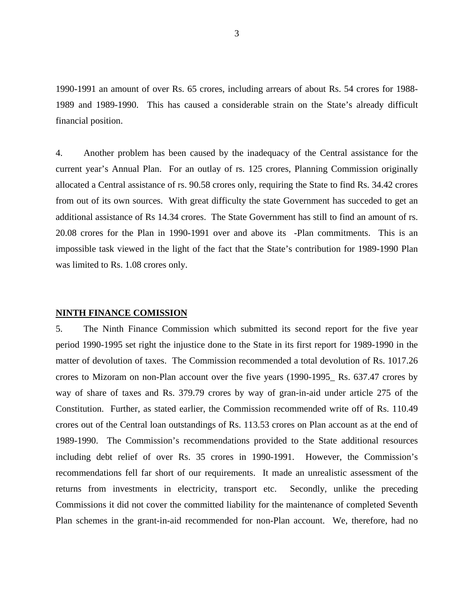1990-1991 an amount of over Rs. 65 crores, including arrears of about Rs. 54 crores for 1988- 1989 and 1989-1990. This has caused a considerable strain on the State's already difficult financial position.

4. Another problem has been caused by the inadequacy of the Central assistance for the current year's Annual Plan. For an outlay of rs. 125 crores, Planning Commission originally allocated a Central assistance of rs. 90.58 crores only, requiring the State to find Rs. 34.42 crores from out of its own sources. With great difficulty the state Government has succeded to get an additional assistance of Rs 14.34 crores. The State Government has still to find an amount of rs. 20.08 crores for the Plan in 1990-1991 over and above its -Plan commitments. This is an impossible task viewed in the light of the fact that the State's contribution for 1989-1990 Plan was limited to Rs. 1.08 crores only.

#### **NINTH FINANCE COMISSION**

5. The Ninth Finance Commission which submitted its second report for the five year period 1990-1995 set right the injustice done to the State in its first report for 1989-1990 in the matter of devolution of taxes. The Commission recommended a total devolution of Rs. 1017.26 crores to Mizoram on non-Plan account over the five years (1990-1995\_ Rs. 637.47 crores by way of share of taxes and Rs. 379.79 crores by way of gran-in-aid under article 275 of the Constitution. Further, as stated earlier, the Commission recommended write off of Rs. 110.49 crores out of the Central loan outstandings of Rs. 113.53 crores on Plan account as at the end of 1989-1990. The Commission's recommendations provided to the State additional resources including debt relief of over Rs. 35 crores in 1990-1991. However, the Commission's recommendations fell far short of our requirements. It made an unrealistic assessment of the returns from investments in electricity, transport etc. Secondly, unlike the preceding Commissions it did not cover the committed liability for the maintenance of completed Seventh Plan schemes in the grant-in-aid recommended for non-Plan account. We, therefore, had no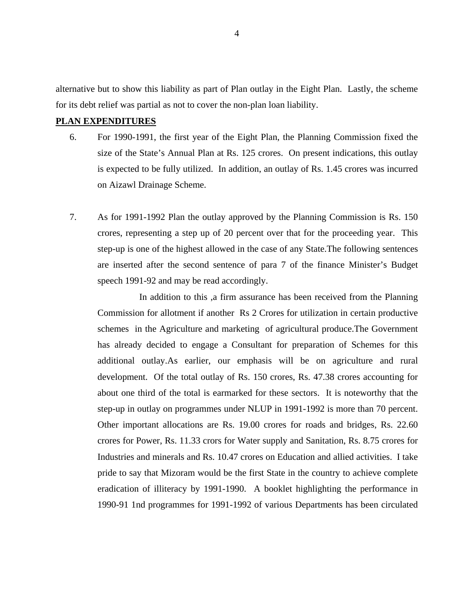alternative but to show this liability as part of Plan outlay in the Eight Plan. Lastly, the scheme for its debt relief was partial as not to cover the non-plan loan liability.

## **PLAN EXPENDITURES**

- 6. For 1990-1991, the first year of the Eight Plan, the Planning Commission fixed the size of the State's Annual Plan at Rs. 125 crores. On present indications, this outlay is expected to be fully utilized. In addition, an outlay of Rs. 1.45 crores was incurred on Aizawl Drainage Scheme.
- 7. As for 1991-1992 Plan the outlay approved by the Planning Commission is Rs. 150 crores, representing a step up of 20 percent over that for the proceeding year. This step-up is one of the highest allowed in the case of any State.The following sentences are inserted after the second sentence of para 7 of the finance Minister's Budget speech 1991-92 and may be read accordingly.

In addition to this ,a firm assurance has been received from the Planning Commission for allotment if another Rs 2 Crores for utilization in certain productive schemes in the Agriculture and marketing of agricultural produce.The Government has already decided to engage a Consultant for preparation of Schemes for this additional outlay.As earlier, our emphasis will be on agriculture and rural development. Of the total outlay of Rs. 150 crores, Rs. 47.38 crores accounting for about one third of the total is earmarked for these sectors. It is noteworthy that the step-up in outlay on programmes under NLUP in 1991-1992 is more than 70 percent. Other important allocations are Rs. 19.00 crores for roads and bridges, Rs. 22.60 crores for Power, Rs. 11.33 crors for Water supply and Sanitation, Rs. 8.75 crores for Industries and minerals and Rs. 10.47 crores on Education and allied activities. I take pride to say that Mizoram would be the first State in the country to achieve complete eradication of illiteracy by 1991-1990. A booklet highlighting the performance in 1990-91 1nd programmes for 1991-1992 of various Departments has been circulated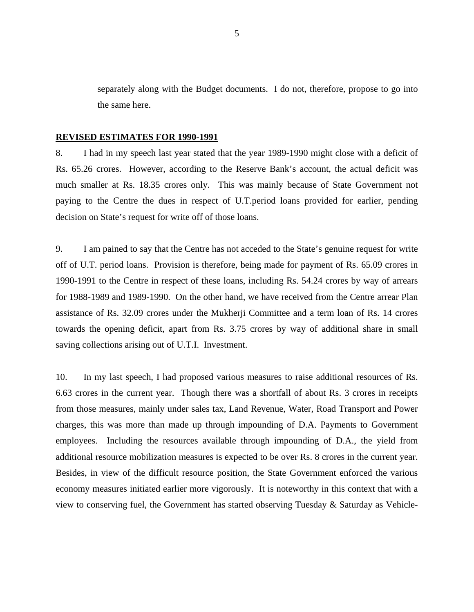separately along with the Budget documents. I do not, therefore, propose to go into the same here.

#### **REVISED ESTIMATES FOR 1990-1991**

8. I had in my speech last year stated that the year 1989-1990 might close with a deficit of Rs. 65.26 crores. However, according to the Reserve Bank's account, the actual deficit was much smaller at Rs. 18.35 crores only. This was mainly because of State Government not paying to the Centre the dues in respect of U.T.period loans provided for earlier, pending decision on State's request for write off of those loans.

9. I am pained to say that the Centre has not acceded to the State's genuine request for write off of U.T. period loans. Provision is therefore, being made for payment of Rs. 65.09 crores in 1990-1991 to the Centre in respect of these loans, including Rs. 54.24 crores by way of arrears for 1988-1989 and 1989-1990. On the other hand, we have received from the Centre arrear Plan assistance of Rs. 32.09 crores under the Mukherji Committee and a term loan of Rs. 14 crores towards the opening deficit, apart from Rs. 3.75 crores by way of additional share in small saving collections arising out of U.T.I. Investment.

10. In my last speech, I had proposed various measures to raise additional resources of Rs. 6.63 crores in the current year. Though there was a shortfall of about Rs. 3 crores in receipts from those measures, mainly under sales tax, Land Revenue, Water, Road Transport and Power charges, this was more than made up through impounding of D.A. Payments to Government employees. Including the resources available through impounding of D.A., the yield from additional resource mobilization measures is expected to be over Rs. 8 crores in the current year. Besides, in view of the difficult resource position, the State Government enforced the various economy measures initiated earlier more vigorously. It is noteworthy in this context that with a view to conserving fuel, the Government has started observing Tuesday & Saturday as Vehicle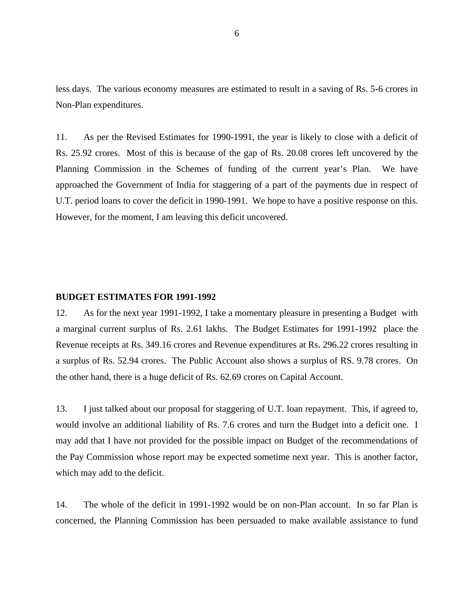less days. The various economy measures are estimated to result in a saving of Rs. 5-6 crores in Non-Plan expenditures.

11. As per the Revised Estimates for 1990-1991, the year is likely to close with a deficit of Rs. 25.92 crores. Most of this is because of the gap of Rs. 20.08 crores left uncovered by the Planning Commission in the Schemes of funding of the current year's Plan. We have approached the Government of India for staggering of a part of the payments due in respect of U.T. period loans to cover the deficit in 1990-1991. We hope to have a positive response on this. However, for the moment, I am leaving this deficit uncovered.

### **BUDGET ESTIMATES FOR 1991-1992**

12. As for the next year 1991-1992, I take a momentary pleasure in presenting a Budget with a marginal current surplus of Rs. 2.61 lakhs. The Budget Estimates for 1991-1992 place the Revenue receipts at Rs. 349.16 crores and Revenue expenditures at Rs. 296.22 crores resulting in a surplus of Rs. 52.94 crores. The Public Account also shows a surplus of RS. 9.78 crores. On the other hand, there is a huge deficit of Rs. 62.69 crores on Capital Account.

13. I just talked about our proposal for staggering of U.T. loan repayment. This, if agreed to, would involve an additional liability of Rs. 7.6 crores and turn the Budget into a deficit one. I may add that I have not provided for the possible impact on Budget of the recommendations of the Pay Commission whose report may be expected sometime next year. This is another factor, which may add to the deficit.

14. The whole of the deficit in 1991-1992 would be on non-Plan account. In so far Plan is concerned, the Planning Commission has been persuaded to make available assistance to fund